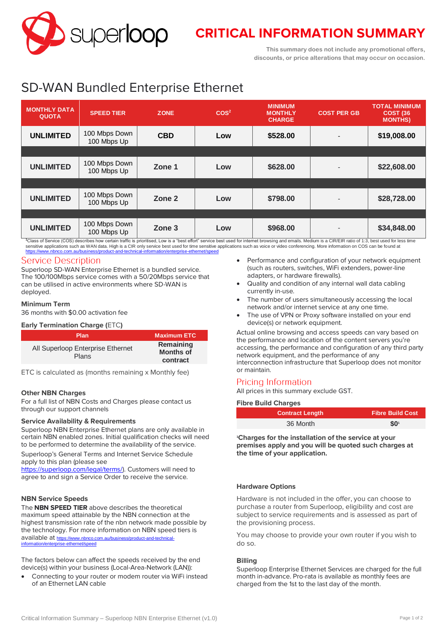

# **CRITICAL INFORMATION SUMMARY**

**This summary does not include any promotional offers, discounts, or price alterations that may occur on occasion.**

# SD-WAN Bundled Enterprise Ethernet

| <b>MONTHLY DATA</b><br><b>QUOTA</b> | <b>SPEED TIER</b>            | <b>ZONE</b> | COS <sup>2</sup> | <b>MINIMUM</b><br><b>MONTHLY</b><br><b>CHARGE</b> | <b>COST PER GB</b> | <b>TOTAL MINIMUM</b><br>COST <sub>(36)</sub><br><b>MONTHS)</b> |
|-------------------------------------|------------------------------|-------------|------------------|---------------------------------------------------|--------------------|----------------------------------------------------------------|
| <b>UNLIMITED</b>                    | 100 Mbps Down<br>100 Mbps Up | <b>CBD</b>  | Low              | \$528.00                                          |                    | \$19,008.00                                                    |
|                                     |                              |             |                  |                                                   |                    |                                                                |
| <b>UNLIMITED</b>                    | 100 Mbps Down<br>100 Mbps Up | Zone 1      | Low              | \$628.00                                          |                    | \$22,608.00                                                    |
|                                     |                              |             |                  |                                                   |                    |                                                                |
| <b>UNLIMITED</b>                    | 100 Mbps Down<br>100 Mbps Up | Zone 2      | Low              | \$798.00                                          |                    | \$28,728.00                                                    |
|                                     |                              |             |                  |                                                   |                    |                                                                |
| <b>UNLIMITED</b>                    | 100 Mbps Down<br>100 Mbps Up | Zone 3      | Low              | \$968.00                                          |                    | \$34,848.00                                                    |

<sup>1</sup>Class of Service (COS) describes how certain traffic is prioritised, Low is a "best effort" service best used for internet browsing and emails. Medium is a CIR/EIR ratio of 1:3, best used for less time<br>sensitive applica <https://www.nbnco.com.au/business/product-and-technical-information/enterprise-ethernet/speed>

# **Service Description**

Superloop SD-WAN Enterprise Ethernet is a bundled service. The 100/100Mbps service comes with a 50/20Mbps service that can be utilised in active environments where SD-WAN is deployed.

# **Minimum Term**

36 months with \$0.00 activation fee

# **Early Termination Charge (**ETC**)**

| Plan                                       | <b>Maximum ETC</b>                        |
|--------------------------------------------|-------------------------------------------|
| All Superloop Enterprise Ethernet<br>Plans | Remaining<br><b>Months of</b><br>contract |

ETC is calculated as (months remaining x Monthly fee)

#### **Other NBN Charges**

For a full list of NBN Costs and Charges please contact us through our support channels

# **Service Availability & Requirements**

Superloop NBN Enterprise Ethernet plans are only available in certain NBN enabled zones. Initial qualification checks will need to be performed to determine the availability of the service.

Superloop's General Terms and Internet Service Schedule apply to this plan (please see

[https://superloop.com/legal/terms/\)](https://superloop.com/legal/terms/). Customers will need to agree to and sign a Service Order to receive the service.

# **NBN Service Speeds**

The **NBN SPEED TIER** above describes the theoretical maximum speed attainable by the NBN connection at the highest transmission rate of the nbn network made possible by the technology. For more information on NBN speed tiers is available at https://www.nbnco.com.au/business/product-and-technical-<br>[information/enterprise-ethernet/speed](https://www.nbnco.com.au/business/product-and-technical-information/enterprise-ethernet/speed)

The factors below can affect the speeds received by the end device(s) within your business (Local-Area-Network (LAN)):

 Connecting to your router or modem router via WiFi instead of an Ethernet LAN cable

- Performance and configuration of your network equipment (such as routers, switches, WiFi extenders, power-line adapters, or hardware firewalls).
- Quality and condition of any internal wall data cabling currently in-use.
- The number of users simultaneously accessing the local network and/or internet service at any one time.
- The use of VPN or Proxy software installed on your end device(s) or network equipment.

Actual online browsing and access speeds can vary based on the performance and location of the content servers you're accessing, the performance and configuration of any third party network equipment, and the performance of any interconnection infrastructure that Superloop does not monitor or maintain.

# **Pricing Information**

All prices in this summary exclude GST.

#### **Fibre Build Charges**

| <b>Contract Length</b> | <b>Fibre Build Cost</b> |
|------------------------|-------------------------|
| 36 Month               | \$0 <sub>1</sub>        |

**<sup>1</sup>Charges for the installation of the service at your premises apply and you will be quoted such charges at the time of your application.**

#### **Hardware Options**

Hardware is not included in the offer, you can choose to purchase a router from Superloop, eligibility and cost are subject to service requirements and is assessed as part of the provisioning process.

You may choose to provide your own router if you wish to do so.

#### **Billing**

Superloop Enterprise Ethernet Services are charged for the full month in-advance. Pro-rata is available as monthly fees are charged from the 1st to the last day of the month.